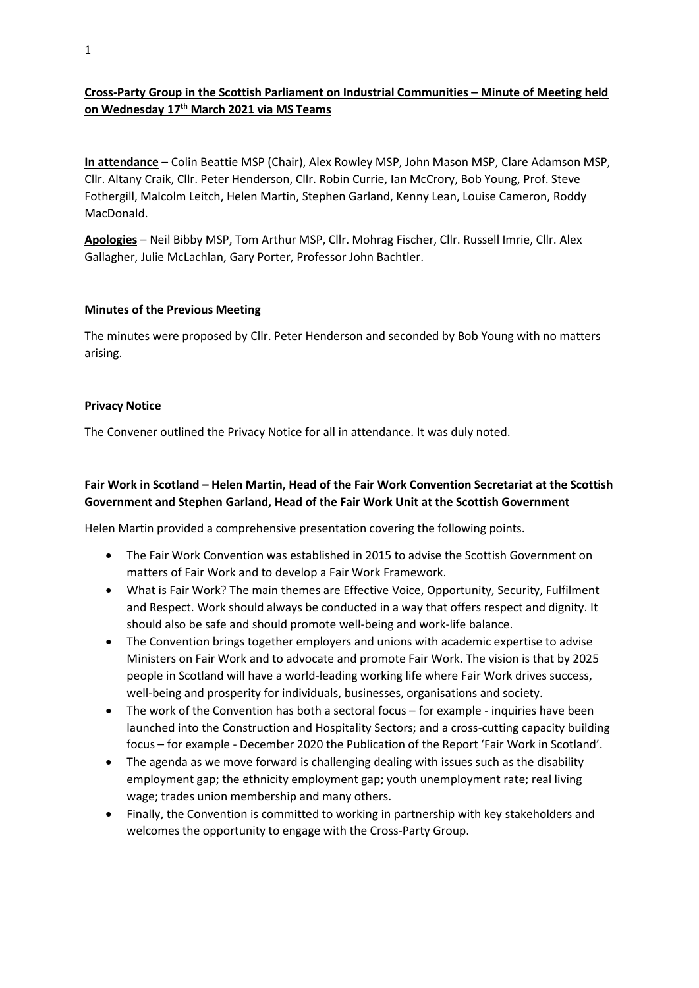## **Cross-Party Group in the Scottish Parliament on Industrial Communities – Minute of Meeting held on Wednesday 17th March 2021 via MS Teams**

**In attendance** – Colin Beattie MSP (Chair), Alex Rowley MSP, John Mason MSP, Clare Adamson MSP, Cllr. Altany Craik, Cllr. Peter Henderson, Cllr. Robin Currie, Ian McCrory, Bob Young, Prof. Steve Fothergill, Malcolm Leitch, Helen Martin, Stephen Garland, Kenny Lean, Louise Cameron, Roddy MacDonald.

**Apologies** – Neil Bibby MSP, Tom Arthur MSP, Cllr. Mohrag Fischer, Cllr. Russell Imrie, Cllr. Alex Gallagher, Julie McLachlan, Gary Porter, Professor John Bachtler.

#### **Minutes of the Previous Meeting**

The minutes were proposed by Cllr. Peter Henderson and seconded by Bob Young with no matters arising.

#### **Privacy Notice**

The Convener outlined the Privacy Notice for all in attendance. It was duly noted.

### **Fair Work in Scotland – Helen Martin, Head of the Fair Work Convention Secretariat at the Scottish Government and Stephen Garland, Head of the Fair Work Unit at the Scottish Government**

Helen Martin provided a comprehensive presentation covering the following points.

- The Fair Work Convention was established in 2015 to advise the Scottish Government on matters of Fair Work and to develop a Fair Work Framework.
- What is Fair Work? The main themes are Effective Voice, Opportunity, Security, Fulfilment and Respect. Work should always be conducted in a way that offers respect and dignity. It should also be safe and should promote well-being and work-life balance.
- The Convention brings together employers and unions with academic expertise to advise Ministers on Fair Work and to advocate and promote Fair Work. The vision is that by 2025 people in Scotland will have a world-leading working life where Fair Work drives success, well-being and prosperity for individuals, businesses, organisations and society.
- The work of the Convention has both a sectoral focus for example inquiries have been launched into the Construction and Hospitality Sectors; and a cross-cutting capacity building focus – for example - December 2020 the Publication of the Report 'Fair Work in Scotland'.
- The agenda as we move forward is challenging dealing with issues such as the disability employment gap; the ethnicity employment gap; youth unemployment rate; real living wage; trades union membership and many others.
- Finally, the Convention is committed to working in partnership with key stakeholders and welcomes the opportunity to engage with the Cross-Party Group.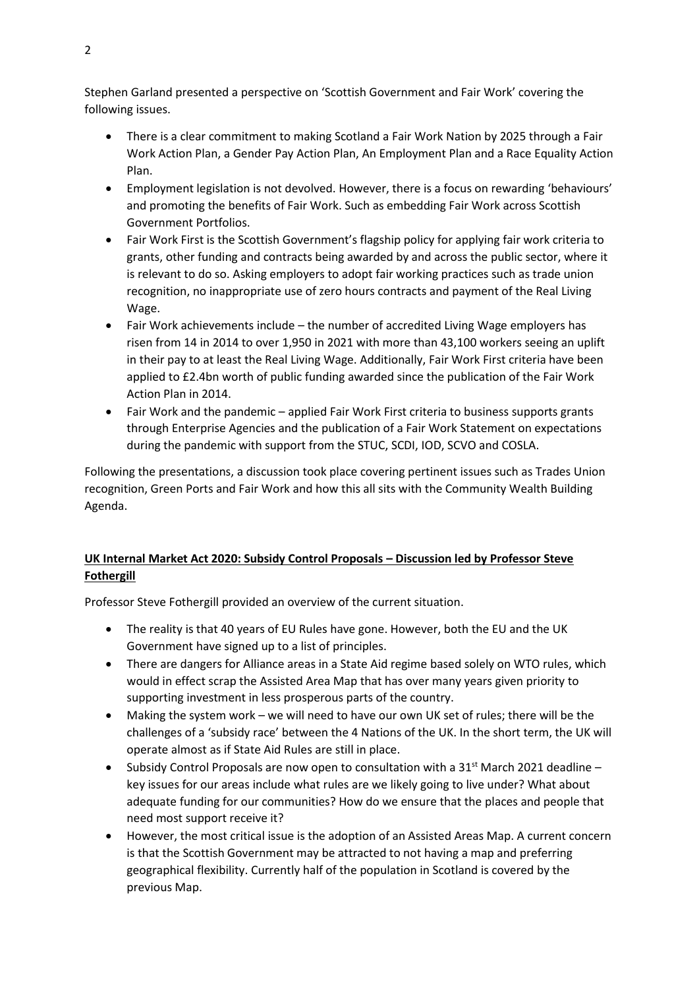Stephen Garland presented a perspective on 'Scottish Government and Fair Work' covering the following issues.

- There is a clear commitment to making Scotland a Fair Work Nation by 2025 through a Fair Work Action Plan, a Gender Pay Action Plan, An Employment Plan and a Race Equality Action Plan.
- Employment legislation is not devolved. However, there is a focus on rewarding 'behaviours' and promoting the benefits of Fair Work. Such as embedding Fair Work across Scottish Government Portfolios.
- Fair Work First is the Scottish Government's flagship policy for applying fair work criteria to grants, other funding and contracts being awarded by and across the public sector, where it is relevant to do so. Asking employers to adopt fair working practices such as trade union recognition, no inappropriate use of zero hours contracts and payment of the Real Living Wage.
- Fair Work achievements include the number of accredited Living Wage employers has risen from 14 in 2014 to over 1,950 in 2021 with more than 43,100 workers seeing an uplift in their pay to at least the Real Living Wage. Additionally, Fair Work First criteria have been applied to £2.4bn worth of public funding awarded since the publication of the Fair Work Action Plan in 2014.
- Fair Work and the pandemic applied Fair Work First criteria to business supports grants through Enterprise Agencies and the publication of a Fair Work Statement on expectations during the pandemic with support from the STUC, SCDI, IOD, SCVO and COSLA.

Following the presentations, a discussion took place covering pertinent issues such as Trades Union recognition, Green Ports and Fair Work and how this all sits with the Community Wealth Building Agenda.

# **UK Internal Market Act 2020: Subsidy Control Proposals – Discussion led by Professor Steve Fothergill**

Professor Steve Fothergill provided an overview of the current situation.

- The reality is that 40 years of EU Rules have gone. However, both the EU and the UK Government have signed up to a list of principles.
- There are dangers for Alliance areas in a State Aid regime based solely on WTO rules, which would in effect scrap the Assisted Area Map that has over many years given priority to supporting investment in less prosperous parts of the country.
- Making the system work we will need to have our own UK set of rules; there will be the challenges of a 'subsidy race' between the 4 Nations of the UK. In the short term, the UK will operate almost as if State Aid Rules are still in place.
- Subsidy Control Proposals are now open to consultation with a  $31<sup>st</sup>$  March 2021 deadline key issues for our areas include what rules are we likely going to live under? What about adequate funding for our communities? How do we ensure that the places and people that need most support receive it?
- However, the most critical issue is the adoption of an Assisted Areas Map. A current concern is that the Scottish Government may be attracted to not having a map and preferring geographical flexibility. Currently half of the population in Scotland is covered by the previous Map.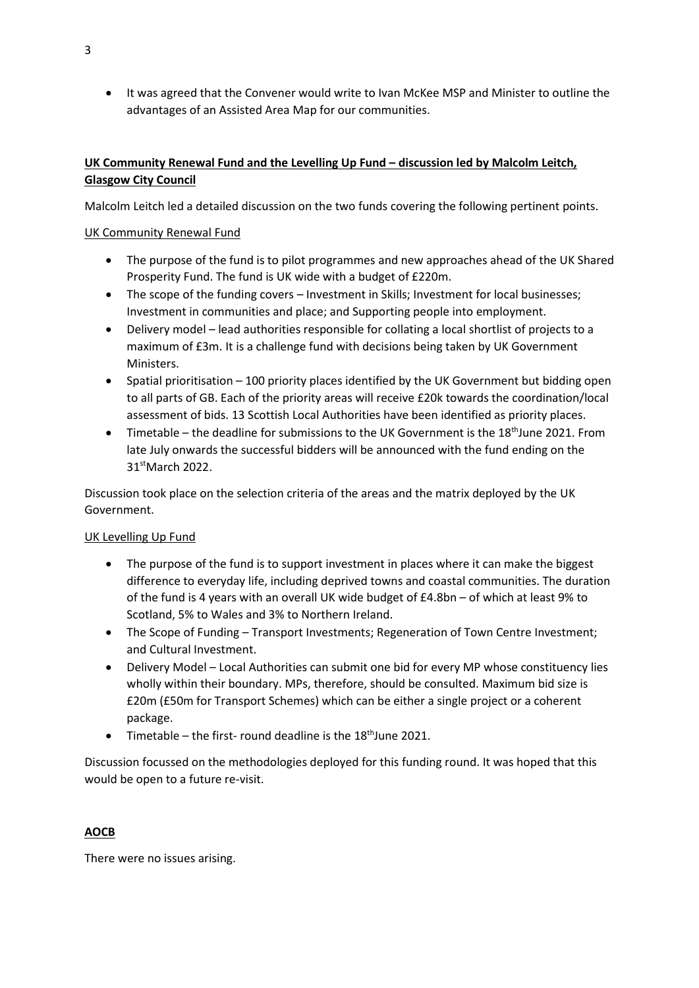• It was agreed that the Convener would write to Ivan McKee MSP and Minister to outline the advantages of an Assisted Area Map for our communities.

## **UK Community Renewal Fund and the Levelling Up Fund – discussion led by Malcolm Leitch, Glasgow City Council**

Malcolm Leitch led a detailed discussion on the two funds covering the following pertinent points.

### UK Community Renewal Fund

- The purpose of the fund is to pilot programmes and new approaches ahead of the UK Shared Prosperity Fund. The fund is UK wide with a budget of £220m.
- The scope of the funding covers Investment in Skills; Investment for local businesses; Investment in communities and place; and Supporting people into employment.
- Delivery model lead authorities responsible for collating a local shortlist of projects to a maximum of £3m. It is a challenge fund with decisions being taken by UK Government Ministers.
- Spatial prioritisation 100 priority places identified by the UK Government but bidding open to all parts of GB. Each of the priority areas will receive £20k towards the coordination/local assessment of bids. 13 Scottish Local Authorities have been identified as priority places.
- Timetable the deadline for submissions to the UK Government is the 18<sup>th</sup>June 2021. From late July onwards the successful bidders will be announced with the fund ending on the 31<sup>st</sup>March 2022.

Discussion took place on the selection criteria of the areas and the matrix deployed by the UK Government.

### UK Levelling Up Fund

- The purpose of the fund is to support investment in places where it can make the biggest difference to everyday life, including deprived towns and coastal communities. The duration of the fund is 4 years with an overall UK wide budget of £4.8bn – of which at least 9% to Scotland, 5% to Wales and 3% to Northern Ireland.
- The Scope of Funding Transport Investments; Regeneration of Town Centre Investment; and Cultural Investment.
- Delivery Model Local Authorities can submit one bid for every MP whose constituency lies wholly within their boundary. MPs, therefore, should be consulted. Maximum bid size is £20m (£50m for Transport Schemes) which can be either a single project or a coherent package.
- Timetable the first- round deadline is the  $18<sup>th</sup>$  June 2021.

Discussion focussed on the methodologies deployed for this funding round. It was hoped that this would be open to a future re-visit.

# **AOCB**

There were no issues arising.